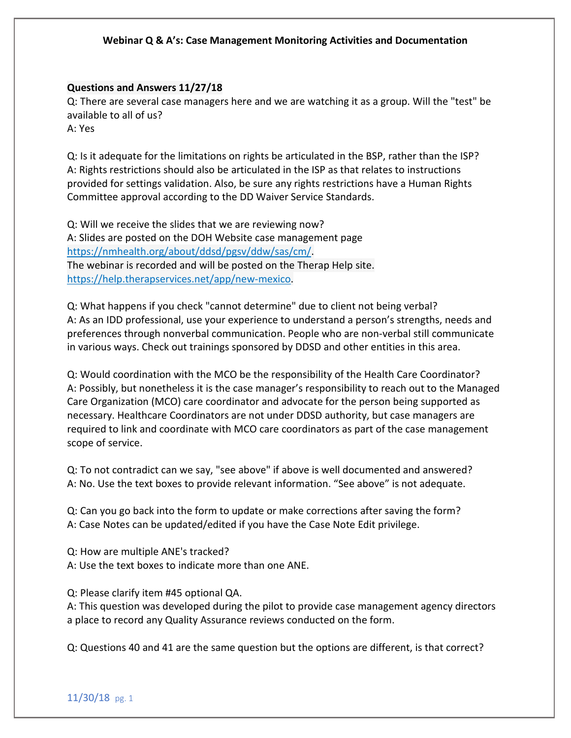#### **Questions and Answers 11/27/18**

Q: There are several case managers here and we are watching it as a group. Will the "test" be available to all of us?

A: Yes

Q: Is it adequate for the limitations on rights be articulated in the BSP, rather than the ISP? A: Rights restrictions should also be articulated in the ISP as that relates to instructions provided for settings validation. Also, be sure any rights restrictions have a Human Rights Committee approval according to the DD Waiver Service Standards.

Q: Will we receive the slides that we are reviewing now? A: Slides are posted on the DOH Website case management page [https://nmhealth.org/about/ddsd/pgsv/ddw/sas/cm/.](https://nmhealth.org/about/ddsd/pgsv/ddw/sas/cm/) The webinar is recorded and will be posted on the Therap Help site. [https://help.therapservices.net/app/new-mexico.](https://help.therapservices.net/app/new-mexico)

Q: What happens if you check "cannot determine" due to client not being verbal? A: As an IDD professional, use your experience to understand a person's strengths, needs and preferences through nonverbal communication. People who are non-verbal still communicate in various ways. Check out trainings sponsored by DDSD and other entities in this area.

Q: Would coordination with the MCO be the responsibility of the Health Care Coordinator? A: Possibly, but nonetheless it is the case manager's responsibility to reach out to the Managed Care Organization (MCO) care coordinator and advocate for the person being supported as necessary. Healthcare Coordinators are not under DDSD authority, but case managers are required to link and coordinate with MCO care coordinators as part of the case management scope of service.

Q: To not contradict can we say, "see above" if above is well documented and answered? A: No. Use the text boxes to provide relevant information. "See above" is not adequate.

Q: Can you go back into the form to update or make corrections after saving the form? A: Case Notes can be updated/edited if you have the Case Note Edit privilege.

Q: How are multiple ANE's tracked? A: Use the text boxes to indicate more than one ANE.

Q: Please clarify item #45 optional QA.

A: This question was developed during the pilot to provide case management agency directors a place to record any Quality Assurance reviews conducted on the form.

Q: Questions 40 and 41 are the same question but the options are different, is that correct?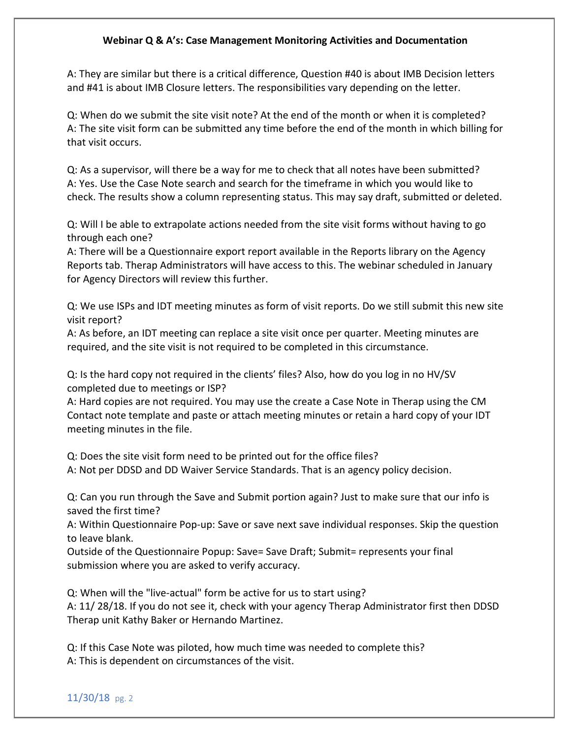A: They are similar but there is a critical difference, Question #40 is about IMB Decision letters and #41 is about IMB Closure letters. The responsibilities vary depending on the letter.

Q: When do we submit the site visit note? At the end of the month or when it is completed? A: The site visit form can be submitted any time before the end of the month in which billing for that visit occurs.

Q: As a supervisor, will there be a way for me to check that all notes have been submitted? A: Yes. Use the Case Note search and search for the timeframe in which you would like to check. The results show a column representing status. This may say draft, submitted or deleted.

Q: Will I be able to extrapolate actions needed from the site visit forms without having to go through each one?

A: There will be a Questionnaire export report available in the Reports library on the Agency Reports tab. Therap Administrators will have access to this. The webinar scheduled in January for Agency Directors will review this further.

Q: We use ISPs and IDT meeting minutes as form of visit reports. Do we still submit this new site visit report?

A: As before, an IDT meeting can replace a site visit once per quarter. Meeting minutes are required, and the site visit is not required to be completed in this circumstance.

Q: Is the hard copy not required in the clients' files? Also, how do you log in no HV/SV completed due to meetings or ISP?

A: Hard copies are not required. You may use the create a Case Note in Therap using the CM Contact note template and paste or attach meeting minutes or retain a hard copy of your IDT meeting minutes in the file.

Q: Does the site visit form need to be printed out for the office files? A: Not per DDSD and DD Waiver Service Standards. That is an agency policy decision.

Q: Can you run through the Save and Submit portion again? Just to make sure that our info is saved the first time?

A: Within Questionnaire Pop-up: Save or save next save individual responses. Skip the question to leave blank.

Outside of the Questionnaire Popup: Save= Save Draft; Submit= represents your final submission where you are asked to verify accuracy.

Q: When will the "live-actual" form be active for us to start using? A: 11/ 28/18. If you do not see it, check with your agency Therap Administrator first then DDSD Therap unit Kathy Baker or Hernando Martinez.

Q: If this Case Note was piloted, how much time was needed to complete this? A: This is dependent on circumstances of the visit.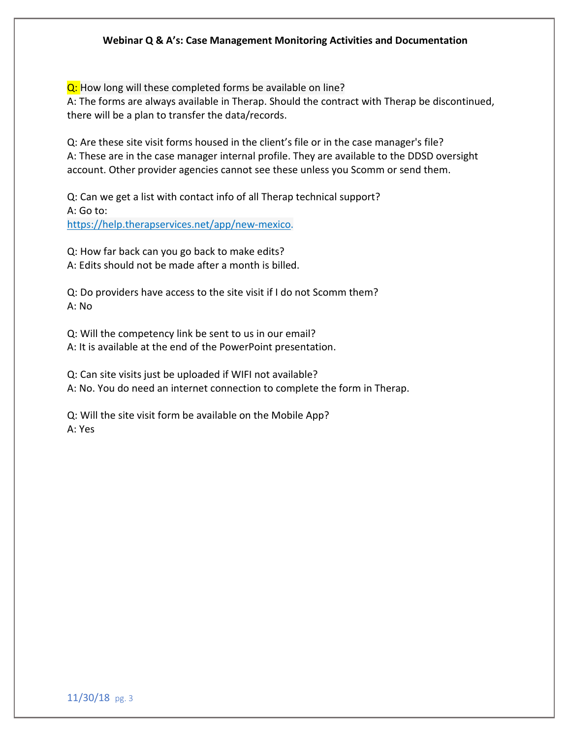Q: How long will these completed forms be available on line? A: The forms are always available in Therap. Should the contract with Therap be discontinued, there will be a plan to transfer the data/records.

Q: Are these site visit forms housed in the client's file or in the case manager's file? A: These are in the case manager internal profile. They are available to the DDSD oversight account. Other provider agencies cannot see these unless you Scomm or send them.

Q: Can we get a list with contact info of all Therap technical support? A: Go to: [https://help.therapservices.net/app/new-mexico.](https://help.therapservices.net/app/new-mexico)

Q: How far back can you go back to make edits? A: Edits should not be made after a month is billed.

Q: Do providers have access to the site visit if I do not Scomm them? A: No

Q: Will the competency link be sent to us in our email? A: It is available at the end of the PowerPoint presentation.

Q: Can site visits just be uploaded if WIFI not available? A: No. You do need an internet connection to complete the form in Therap.

Q: Will the site visit form be available on the Mobile App? A: Yes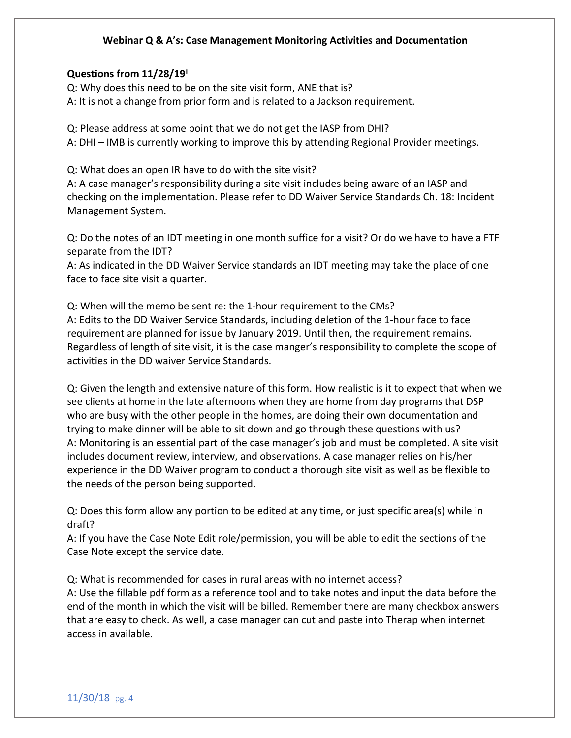### **Questions from 11/28/19[i](#page-4-0)**

Q: Why does this need to be on the site visit form, ANE that is? A: It is not a change from prior form and is related to a Jackson requirement.

Q: Please address at some point that we do not get the IASP from DHI? A: DHI – IMB is currently working to improve this by attending Regional Provider meetings.

Q: What does an open IR have to do with the site visit?

A: A case manager's responsibility during a site visit includes being aware of an IASP and checking on the implementation. Please refer to DD Waiver Service Standards Ch. 18: Incident Management System.

Q: Do the notes of an IDT meeting in one month suffice for a visit? Or do we have to have a FTF separate from the IDT?

A: As indicated in the DD Waiver Service standards an IDT meeting may take the place of one face to face site visit a quarter.

Q: When will the memo be sent re: the 1-hour requirement to the CMs?

A: Edits to the DD Waiver Service Standards, including deletion of the 1-hour face to face requirement are planned for issue by January 2019. Until then, the requirement remains. Regardless of length of site visit, it is the case manger's responsibility to complete the scope of activities in the DD waiver Service Standards.

Q: Given the length and extensive nature of this form. How realistic is it to expect that when we see clients at home in the late afternoons when they are home from day programs that DSP who are busy with the other people in the homes, are doing their own documentation and trying to make dinner will be able to sit down and go through these questions with us? A: Monitoring is an essential part of the case manager's job and must be completed. A site visit includes document review, interview, and observations. A case manager relies on his/her experience in the DD Waiver program to conduct a thorough site visit as well as be flexible to the needs of the person being supported.

Q: Does this form allow any portion to be edited at any time, or just specific area(s) while in draft?

A: If you have the Case Note Edit role/permission, you will be able to edit the sections of the Case Note except the service date.

Q: What is recommended for cases in rural areas with no internet access? A: Use the fillable pdf form as a reference tool and to take notes and input the data before the end of the month in which the visit will be billed. Remember there are many checkbox answers that are easy to check. As well, a case manager can cut and paste into Therap when internet access in available.